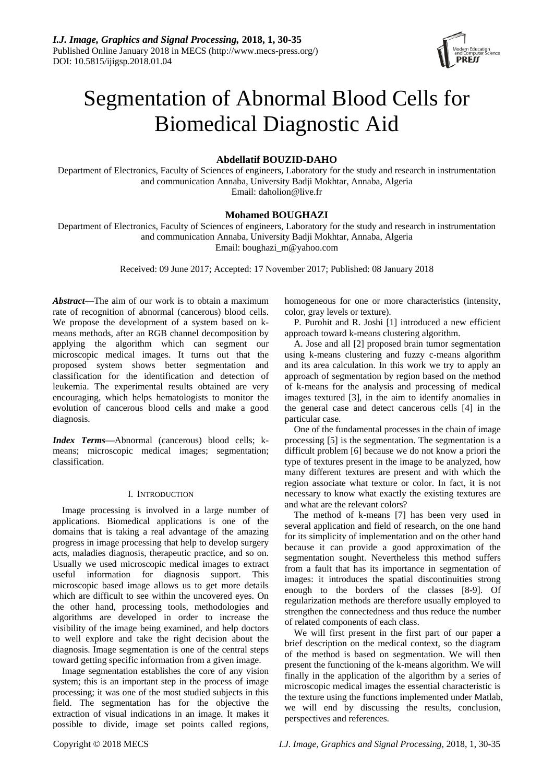

# Segmentation of Abnormal Blood Cells for Biomedical Diagnostic Aid

# **Abdellatif BOUZID-DAHO**

Department of Electronics, Faculty of Sciences of engineers, Laboratory for the study and research in instrumentation and communication Annaba, University Badji Mokhtar, Annaba, Algeria Email: daholion@live.fr

# **Mohamed BOUGHAZI**

Department of Electronics, Faculty of Sciences of engineers, Laboratory for the study and research in instrumentation and communication Annaba, University Badji Mokhtar, Annaba, Algeria Email: boughazi\_m@yahoo.com

Received: 09 June 2017; Accepted: 17 November 2017; Published: 08 January 2018

*Abstract***—**The aim of our work is to obtain a maximum rate of recognition of abnormal (cancerous) blood cells. We propose the development of a system based on kmeans methods, after an RGB channel decomposition by applying the algorithm which can segment our microscopic medical images. It turns out that the proposed system shows better segmentation and classification for the identification and detection of leukemia. The experimental results obtained are very encouraging, which helps hematologists to monitor the evolution of cancerous blood cells and make a good diagnosis.

*Index Terms***—**Abnormal (cancerous) blood cells; kmeans; microscopic medical images; segmentation; classification.

# I. INTRODUCTION

Image processing is involved in a large number of applications. Biomedical applications is one of the domains that is taking a real advantage of the amazing progress in image processing that help to develop surgery acts, maladies diagnosis, therapeutic practice, and so on. Usually we used microscopic medical images to extract useful information for diagnosis support. This microscopic based image allows us to get more details which are difficult to see within the uncovered eyes. On the other hand, processing tools, methodologies and algorithms are developed in order to increase the visibility of the image being examined, and help doctors to well explore and take the right decision about the diagnosis. Image segmentation is one of the central steps toward getting specific information from a given image.

Image segmentation establishes the core of any vision system; this is an important step in the process of image processing; it was one of the most studied subjects in this field. The segmentation has for the objective the extraction of visual indications in an image. It makes it possible to divide, image set points called regions,

homogeneous for one or more characteristics (intensity, color, gray levels or texture).

P. Purohit and R. Joshi [1] introduced a new efficient approach toward k-means clustering algorithm.

A. Jose and all [2] proposed brain tumor segmentation using k-means clustering and fuzzy c-means algorithm and its area calculation. In this work we try to apply an approach of segmentation by region based on the method of k-means for the analysis and processing of medical images textured [3], in the aim to identify anomalies in the general case and detect cancerous cells [4] in the particular case.

One of the fundamental processes in the chain of image processing [5] is the segmentation. The segmentation is a difficult problem [6] because we do not know a priori the type of textures present in the image to be analyzed, how many different textures are present and with which the region associate what texture or color. In fact, it is not necessary to know what exactly the existing textures are and what are the relevant colors?

The method of k-means [7] has been very used in several application and field of research, on the one hand for its simplicity of implementation and on the other hand because it can provide a good approximation of the segmentation sought. Nevertheless this method suffers from a fault that has its importance in segmentation of images: it introduces the spatial discontinuities strong enough to the borders of the classes [8-9]. Of regularization methods are therefore usually employed to strengthen the connectedness and thus reduce the number of related components of each class.

We will first present in the first part of our paper a brief description on the medical context, so the diagram of the method is based on segmentation. We will then present the functioning of the k-means algorithm. We will finally in the application of the algorithm by a series of microscopic medical images the essential characteristic is the texture using the functions implemented under Matlab, we will end by discussing the results, conclusion, perspectives and references.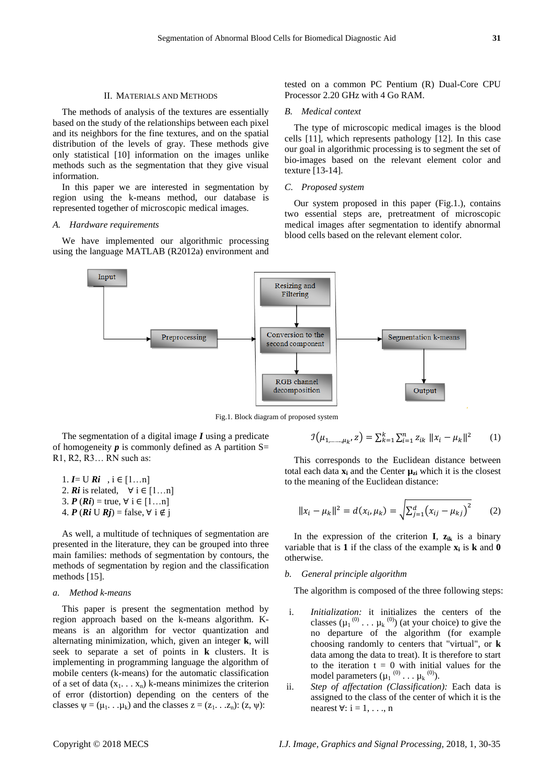# II. MATERIALS AND METHODS

The methods of analysis of the textures are essentially based on the study of the relationships between each pixel and its neighbors for the fine textures, and on the spatial distribution of the levels of gray. These methods give only statistical [10] information on the images unlike methods such as the segmentation that they give visual information.

In this paper we are interested in segmentation by region using the k-means method, our database is represented together of microscopic medical images.

# *A. Hardware requirements*

We have implemented our algorithmic processing using the language MATLAB (R2012a) environment and tested on a common PC Pentium (R) Dual-Core CPU Processor 2.20 GHz with 4 Go RAM.

### *B. Medical context*

The type of microscopic medical images is the blood cells [11], which represents pathology [12]. In this case our goal in algorithmic processing is to segment the set of bio-images based on the relevant element color and texture [13-14].

# *C. Proposed system*

Our system proposed in this paper (Fig.1.), contains two essential steps are, pretreatment of microscopic medical images after segmentation to identify abnormal blood cells based on the relevant element color.



Fig.1. Block diagram of proposed system

The segmentation of a digital image *I* using a predicate of homogeneity  $p$  is commonly defined as A partition  $S=$ R1, R2, R3… RN such as:

1. 
$$
I = U Ri
$$
,  $i \in [1...n]$   
\n2.  $Ri$  is related,  $\forall i \in [1...n]$   
\n3.  $P(Ri) = true, \forall i \in [1...n]$   
\n4.  $P(Ri \cup Rj) = false, \forall i \notin j$ 

As well, a multitude of techniques of segmentation are presented in the literature, they can be grouped into three main families: methods of segmentation by contours, the methods of segmentation by region and the classification methods [15].

#### *a. Method k-means*

This paper is present the segmentation method by region approach based on the k-means algorithm. Kmeans is an algorithm for vector quantization and alternating minimization, which, given an integer **k**, will seek to separate a set of points in **k** clusters. It is implementing in programming language the algorithm of mobile centers (k-means) for the automatic classification of a set of data  $(x_1, \ldots, x_n)$  k-means minimizes the criterion of error (distortion) depending on the centers of the classes  $\psi = (\mu_1, \ldots, \mu_k)$  and the classes  $z = (z_1, \ldots, z_n)$ :  $(z, \psi)$ :

$$
\mathcal{I}(\mu_{1,\dots,\mu_k}, z) = \sum_{k=1}^k \sum_{i=1}^n z_{ik} \, ||x_i - \mu_k||^2 \qquad (1)
$$

This corresponds to the Euclidean distance between total each data  $\mathbf{x}_i$  and the Center  $\boldsymbol{\mu}_{zi}$  which it is the closest to the meaning of the Euclidean distance:

$$
||x_i - \mu_k||^2 = d(x_i, \mu_k) = \sqrt{\sum_{j=1}^d (x_{ij} - \mu_{kj})^2}
$$
 (2)

In the expression of the criterion **I**,  $z_{ik}$  is a binary variable that is **1** if the class of the example **x<sup>i</sup>** is **k** and **0** otherwise.

# *b. General principle algorithm*

The algorithm is composed of the three following steps:

- i. *Initialization:* it initializes the centers of the classes  $(\mu_1^{(0)} \dots \mu_k^{(0)})$  (at your choice) to give the no departure of the algorithm (for example choosing randomly to centers that "virtual", or **k** data among the data to treat). It is therefore to start to the iteration  $t = 0$  with initial values for the model parameters  $(\mu_1^{(0)} \dots \mu_k^{(0)})$ .
- ii. *Step of affectation (Classification):* Each data is assigned to the class of the center of which it is the nearest  $\forall$ : i = 1, . . ., n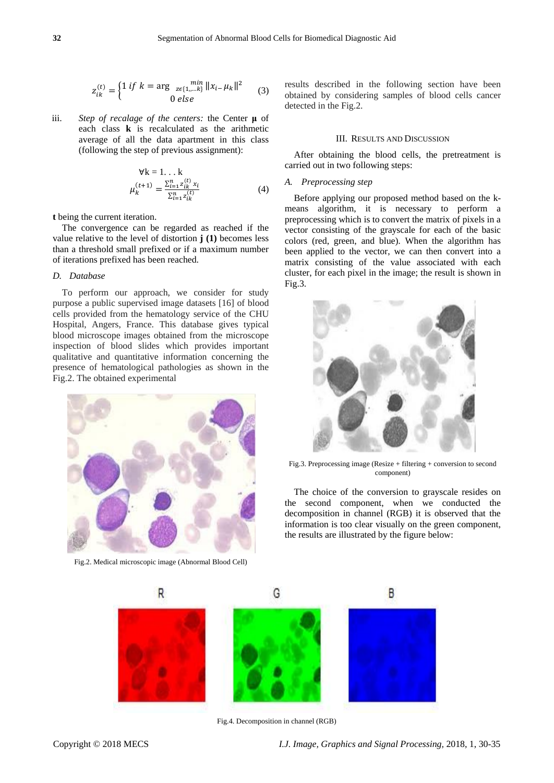$$
z_{ik}^{(t)} = \begin{cases} 1 \text{ if } k = \arg \min_{z \in \{1, \dots, k\}} \|x_{i-} \mu_k\|^2 \\ 0 \text{ else} \end{cases} \tag{3}
$$

iii. *Step of recalage of the centers:* the Center **μ** of each class **k** is recalculated as the arithmetic average of all the data apartment in this class (following the step of previous assignment):

$$
\forall k = 1...k \n\mu_k^{(t+1)} = \frac{\sum_{i=1}^n z_{ik}^{(t)} x_i}{\sum_{i=1}^n z_{ik}^{(t)}} \n\tag{4}
$$

**t** being the current iteration.

The convergence can be regarded as reached if the value relative to the level of distortion **j (1)** becomes less than a threshold small prefixed or if a maximum number of iterations prefixed has been reached.

## *D. Database*

To perform our approach, we consider for study purpose a public supervised image datasets [16] of blood cells provided from the hematology service of the CHU Hospital, Angers, France. This database gives typical blood microscope images obtained from the microscope inspection of blood slides which provides important qualitative and quantitative information concerning the presence of hematological pathologies as shown in the Fig.2. The obtained experimental



Fig.2. Medical microscopic image (Abnormal Blood Cell)

results described in the following section have been obtained by considering samples of blood cells cancer detected in the Fig.2.

# III. RESULTS AND DISCUSSION

After obtaining the blood cells, the pretreatment is carried out in two following steps:

## *A. Preprocessing step*

Before applying our proposed method based on the kmeans algorithm, it is necessary to perform a preprocessing which is to convert the matrix of pixels in a vector consisting of the grayscale for each of the basic colors (red, green, and blue). When the algorithm has been applied to the vector, we can then convert into a matrix consisting of the value associated with each cluster, for each pixel in the image; the result is shown in Fig.3.



Fig.3. Preprocessing image (Resize + filtering + conversion to second component)

The choice of the conversion to grayscale resides on the second component, when we conducted the decomposition in channel (RGB) it is observed that the information is too clear visually on the green component, the results are illustrated by the figure below:



Fig.4. Decomposition in channel (RGB)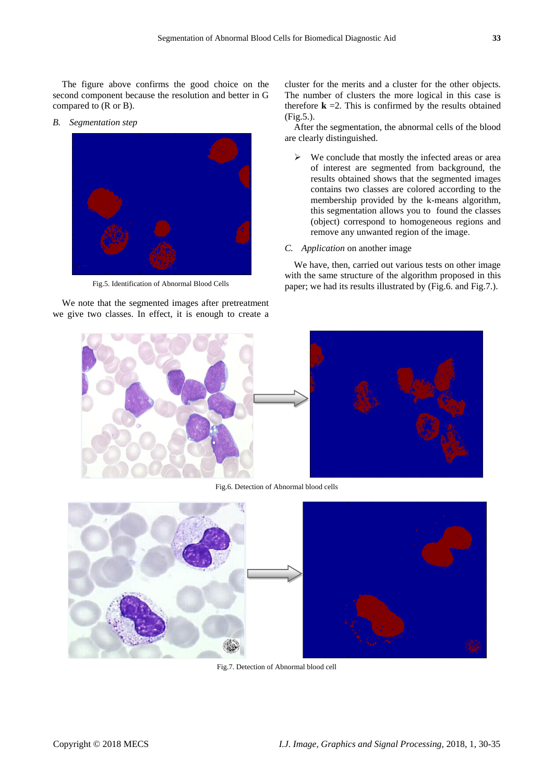The figure above confirms the good choice on the second component because the resolution and better in G compared to (R or B).

*B. Segmentation step*



Fig.5. Identification of Abnormal Blood Cells

We note that the segmented images after pretreatment we give two classes. In effect, it is enough to create a cluster for the merits and a cluster for the other objects. The number of clusters the more logical in this case is therefore  $\bf{k}$  =2. This is confirmed by the results obtained (Fig.5.).

After the segmentation, the abnormal cells of the blood are clearly distinguished.

- $\triangleright$  We conclude that mostly the infected areas or area of interest are segmented from background, the results obtained shows that the segmented images contains two classes are colored according to the membership provided by the k-means algorithm, this segmentation allows you to found the classes (object) correspond to homogeneous regions and remove any unwanted region of the image.
- *C. Application* on another image

We have, then, carried out various tests on other image with the same structure of the algorithm proposed in this paper; we had its results illustrated by (Fig.6. and Fig.7.).



Fig.6. Detection of Abnormal blood cells



Fig.7. Detection of Abnormal blood cell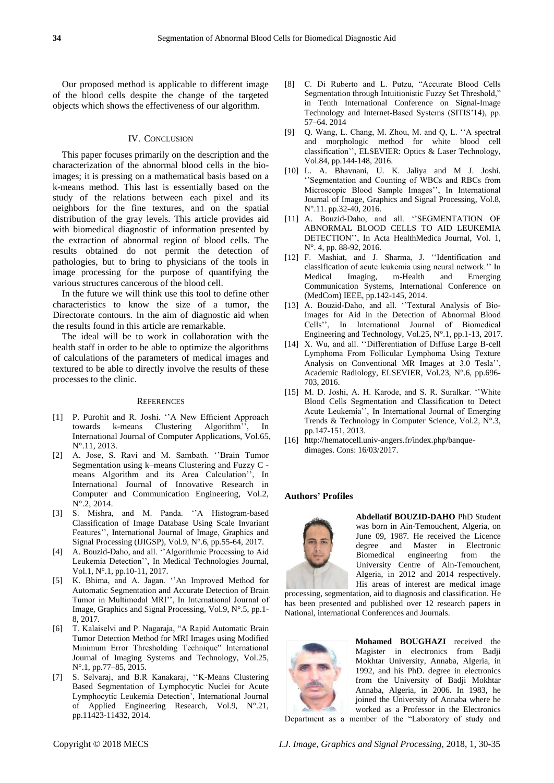Our proposed method is applicable to different image of the blood cells despite the change of the targeted objects which shows the effectiveness of our algorithm.

#### IV. CONCLUSION

This paper focuses primarily on the description and the characterization of the abnormal blood cells in the bioimages; it is pressing on a mathematical basis based on a k-means method. This last is essentially based on the study of the relations between each pixel and its neighbors for the fine textures, and on the spatial distribution of the gray levels. This article provides aid with biomedical diagnostic of information presented by the extraction of abnormal region of blood cells. The results obtained do not permit the detection of pathologies, but to bring to physicians of the tools in image processing for the purpose of quantifying the various structures cancerous of the blood cell.

In the future we will think use this tool to define other characteristics to know the size of a tumor, the Directorate contours. In the aim of diagnostic aid when the results found in this article are remarkable.

The ideal will be to work in collaboration with the health staff in order to be able to optimize the algorithms of calculations of the parameters of medical images and textured to be able to directly involve the results of these processes to the clinic.

#### **REFERENCES**

- [1] P. Purohit and R. Joshi. ''A New Efficient Approach towards k-means Clustering Algorithm'', In International Journal of Computer Applications, Vol.65, N°.11, 2013.
- [2] A. Jose, S. Ravi and M. Sambath. ''Brain Tumor Segmentation using k–means Clustering and Fuzzy C means Algorithm and its Area Calculation'', In International Journal of Innovative Research in Computer and Communication Engineering, Vol.2, N  $.2$ , 2014.
- [3] S. Mishra, and M. Panda. ''A Histogram-based Classification of Image Database Using Scale Invariant Features'', International Journal of Image, Graphics and Signal Processing (IJIGSP), Vol.9, N°.6, pp.55-64, 2017.
- [4] A. Bouzid-Daho, and all. ''Algorithmic Processing to Aid Leukemia Detection'', In Medical Technologies Journal, Vol.1, N°.1, pp.10-11, 2017.
- [5] K. Bhima, and A. Jagan. ''An Improved Method for Automatic Segmentation and Accurate Detection of Brain Tumor in Multimodal MRI'', In International Journal of Image, Graphics and Signal Processing, Vol.9, N°.5, pp.1- 8, 2017.
- [6] T. Kalaiselvi and P. Nagaraja, "A Rapid Automatic Brain Tumor Detection Method for MRI Images using Modified Minimum Error Thresholding Technique" International Journal of Imaging Systems and Technology, Vol.25, N°.1, pp.77–85, 2015.
- [7] S. Selvaraj, and B.R Kanakaraj, ''K-Means Clustering Based Segmentation of Lymphocytic Nuclei for Acute Lymphocytic Leukemia Detection', International Journal of Applied Engineering Research, Vol.9, N°.21, pp.11423-11432, 2014.
- [8] C. Di Ruberto and L. Putzu, "Accurate Blood Cells Segmentation through Intuitionistic Fuzzy Set Threshold," in Tenth International Conference on Signal-Image Technology and Internet-Based Systems (SITIS'14), pp. 57–64. 2014
- [9] Q. Wang, L. Chang, M. Zhou, M. and Q, L. ''A spectral and morphologic method for white blood cell classification'', ELSEVIER: Optics & Laser Technology, Vol.84, pp.144-148, 2016.
- [10] L. A. Bhavnani, U. K. Jaliya and M J. Joshi. ''Segmentation and Counting of WBCs and RBCs from Microscopic Blood Sample Images'', In International Journal of Image, Graphics and Signal Processing, Vol.8, N ° 11. pp.32-40, 2016.
- [11] A. Bouzid-Daho, and all. ''SEGMENTATION OF ABNORMAL BLOOD CELLS TO AID LEUKEMIA DETECTION'', In Acta HealthMedica Journal, Vol. 1, N ° 4, pp. 88-92, 2016.
- [12] F. Mashiat, and J. Sharma, J. ''Identification and classification of acute leukemia using neural network.'' In Medical Imaging, m-Health and Emerging Communication Systems, International Conference on (MedCom) IEEE, pp.142-145, 2014.
- [13] A. Bouzid-Daho, and all. "Textural Analysis of Bio-Images for Aid in the Detection of Abnormal Blood Cells'', In International Journal of Biomedical Engineering and Technology, Vol.25, N°.1, pp.1-13, 2017.
- [14] X. Wu, and all. "Differentiation of Diffuse Large B-cell Lymphoma From Follicular Lymphoma Using Texture Analysis on Conventional MR Images at 3.0 Tesla'', Academic Radiology, ELSEVIER, Vol.23, N°.6, pp.696- 703, 2016.
- [15] M. D. Joshi, A. H. Karode, and S. R. Suralkar. ''White Blood Cells Segmentation and Classification to Detect Acute Leukemia'', In International Journal of Emerging Trends & Technology in Computer Science, Vol.2, N°.3, pp.147-151, 2013.
- [16] http://hematocell.univ-angers.fr/index.php/banquedimages. Cons: 16/03/2017.

# **Authors' Profiles**



**Abdellatif BOUZID-DAHO** PhD Student was born in Ain-Temouchent, Algeria, on June 09, 1987. He received the Licence degree and Master in Electronic Biomedical engineering from the University Centre of Ain-Temouchent, Algeria, in 2012 and 2014 respectively. His areas of interest are medical image

processing, segmentation, aid to diagnosis and classification. He has been presented and published over 12 research papers in National, international Conferences and Journals.



**Mohamed BOUGHAZI** received the Magister in electronics from Badji Mokhtar University, Annaba, Algeria, in 1992, and his PhD. degree in electronics from the University of Badji Mokhtar Annaba, Algeria, in 2006. In 1983, he joined the University of Annaba where he worked as a Professor in the Electronics Department as a member of the "Laboratory of study and